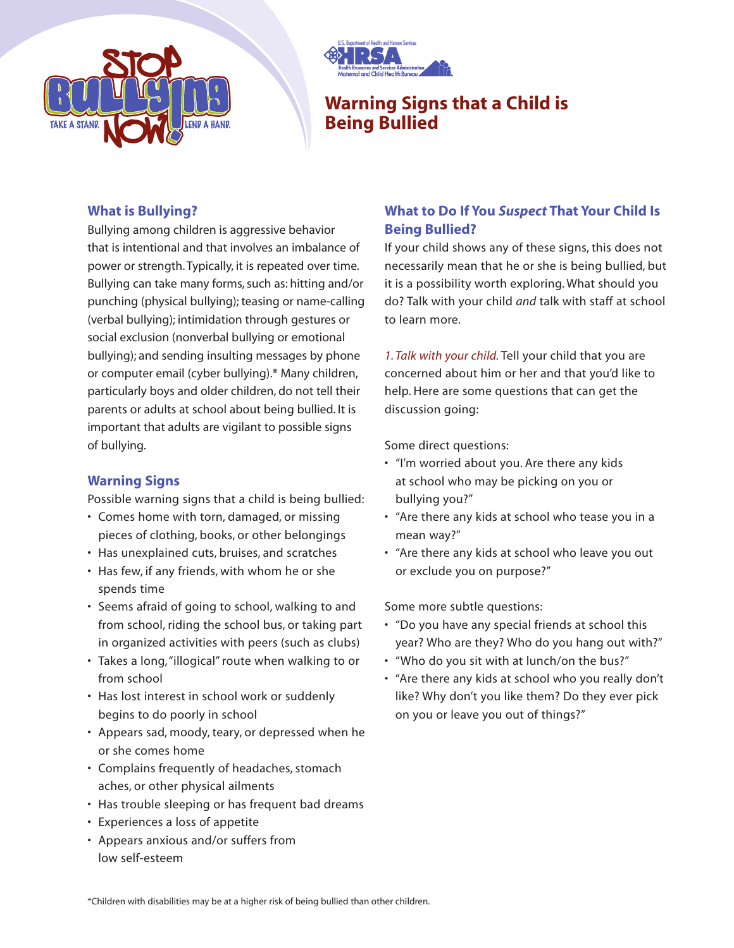



# **Warning Signs that a Child is Being Bullied**

#### **What is Bullying?**

Bullying among children is aggressive behavior that is intentional and that involves an imbalance of power or strength. Typically, it is repeated over time. Bullying can take many forms, such as: hitting and/or punching (physical bullying); teasing or name-calling (verbal bullying); intimidation through gestures or social exclusion (nonverbal bullying or emotional bullying); and sending insulting messages by phone or computer email (cyber bullying).\* Many children, particularly boys and older children, do not tell their parents or adults at school about being bullied. It is important that adults are vigilant to possible signs of bullying.

## **Warning Signs**

Possible warning signs that a child is being bullied:

- Comes home with torn, damaged, or missing pieces of clothing, books, or other belongings
- Has unexplained cuts, bruises, and scratches
- Has few, if any friends, with whom he or she spends time
- Seems afraid of going to school, walking to and from school, riding the school bus, or taking part in organized activities with peers (such as clubs)
- Takes a long,"illogical" route when walking to or from school
- Has lost interest in school work or suddenly begins to do poorly in school
- Appears sad, moody, teary, or depressed when he or she comes home
- Complains frequently of headaches, stomach aches, or other physical ailments
- Has trouble sleeping or has frequent bad dreams
- Experiences a loss of appetite
- Appears anxious and/or suffers from low self-esteem

## **What to Do If You** *Suspect* **That Your Child Is Being Bullied?**

If your child shows any of these signs, this does not necessarily mean that he or she is being bullied, but it is a possibility worth exploring. What should you do? Talk with your child *and* talk with staff at school to learn more.

*1. Talk with your child.* Tell your child that you are concerned about him or her and that you'd like to help. Here are some questions that can get the discussion going:

Some direct questions:

- "I'm worried about you. Are there any kids at school who may be picking on you or bullying you?"
- "Are there any kids at school who tease you in a mean way?"
- "Are there any kids at school who leave you out or exclude you on purpose?"

Some more subtle questions:

- "Do you have any special friends at school this year? Who are they? Who do you hang out with?"
- "Who do you sit with at lunch/on the bus?"
- "Are there any kids at school who you really don't like? Why don't you like them? Do they ever pick on you or leave you out of things?"